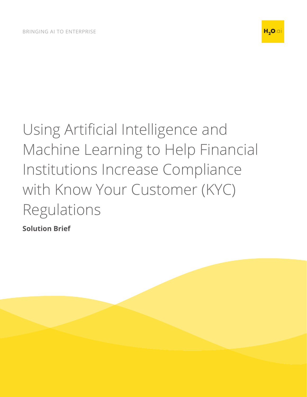

# Using Artificial Intelligence and Machine Learning to Help Financial Institutions Increase Compliance with Know Your Customer (KYC) Regulations

**Solution Brief**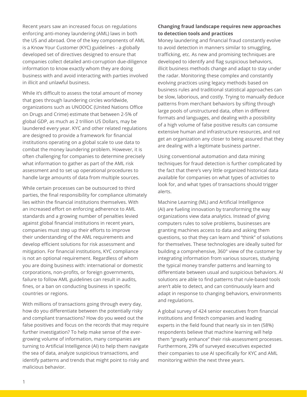Recent years saw an increased focus on regulations enforcing anti-money laundering (AML) laws in both the US and abroad. One of the key components of AML is a Know Your Customer (KYC) guidelines - a globally developed set of directives designed to ensure that companies collect detailed anti-corruption due-diligence information to know exactly whom they are doing business with and avoid interacting with parties involved in illicit and unlawful business.

While it's difficult to assess the total amount of money that goes through laundering circles worldwide, organizations such as UNODOC (United Nations Office on Drugs and Crime) estimate that between 2-5% of global GDP, as much as 2 trillion US Dollars, may be laundered every year. KYC and other related regulations are designed to provide a framework for financial institutions operating on a global scale to use data to combat the money laundering problem. However, it is often challenging for companies to determine precisely what information to gather as part of the AML risk assessment and to set up operational procedures to handle large amounts of data from multiple sources.

While certain processes can be outsourced to third parties, the final responsibility for compliance ultimately lies within the financial institutions themselves. With an increased effort on enforcing adherence to AML standards and a growing number of penalties levied against global financial institutions in recent years, companies must step up their efforts to improve their understanding of the AML requirements and develop efficient solutions for risk assessment and mitigation. For financial institutions, KYC compliance is not an optional requirement. Regardless of whom you are doing business with: international or domestic corporations, non-profits, or foreign governments, failure to follow AML guidelines can result in audits, fines, or a ban on conducting business in specific countries or regions.

With millions of transactions going through every day, how do you differentiate between the potentially risky and compliant transactions? How do you weed out the false positives and focus on the records that may require further investigation? To help make sense of the evergrowing volume of information, many companies are turning to Artificial Intelligence (AI) to help them navigate the sea of data, analyze suspicious transactions, and identify patterns and trends that might point to risky and malicious behavior.

## **Changing fraud landscape requires new approaches to detection tools and practices**

Money laundering and financial fraud constantly evolve to avoid detection in manners similar to smuggling, trafficking, etc. As new and promising techniques are developed to identify and flag suspicious behaviors, illicit business methods change and adapt to stay under the radar. Monitoring these complex and constantly evolving practices using legacy methods based on business rules and traditional statistical approaches can be slow, laborious, and costly. Trying to manually deduce patterns from merchant behaviors by sifting through large pools of unstructured data, often in different formats and languages, and dealing with a possibility of a high volume of false positive results can consume extensive human and infrastructure resources, and not get an organization any closer to being assured that they are dealing with a legitimate business partner.

Using conventional automation and data mining techniques for fraud detection is further complicated by the fact that there's very little organized historical data available for companies on what types of activities to look for, and what types of transactions should trigger alerts.

Machine Learning (ML) and Artificial Intelligence (AI) are fueling innovation by transforming the way organizations view data analytics. Instead of giving computers rules to solve problems, businesses are granting machines access to data and asking them questions, so that they can learn and "think" of solutions for themselves. These technologies are ideally suited for building a comprehensive, 360° view of the customer by integrating information from various sources, studying the typical money transfer patterns and learning to differentiate between usual and suspicious behaviors. AI solutions are able to find patterns that rule-based tools aren't able to detect, and can continuously learn and adapt in response to changing behaviors, environments and regulations.

A global survey of 424 senior executives from financial institutions and fintech companies and leading experts in the field found that nearly six in ten (58%) respondents believe that machine learning will help them "greatly enhance" their risk-assessment processes. Furthermore, 29% of surveyed executives expected their companies to use AI specifically for KYC and AML monitoring within the next three years.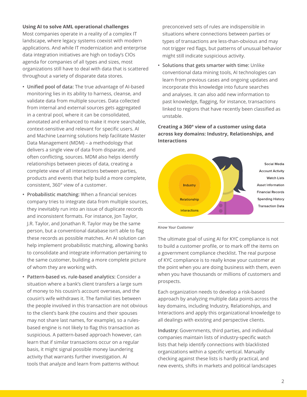#### **Using AI to solve AML operational challenges**

Most companies operate in a reality of a complex IT landscape, where legacy systems coexist with modern applications. And while IT modernization and enterprise data integration initiatives are high on today's CIOs agenda for companies of all types and sizes, most organizations still have to deal with data that is scattered throughout a variety of disparate data stores.

- **• Unified pool of data:** The true advantage of AI-based monitoring lies in its ability to harness, cleanse, and validate data from multiple sources. Data collected from internal and external sources gets aggregated in a central pool, where it can be consolidated, annotated and enhanced to make it more searchable, context-sensitive and relevant for specific users. AI and Machine Learning solutions help facilitate Master Data Management (MDM) – a methodology that delivers a single view of data from disparate, and often conflicting, sources. MDM also helps identify relationships between pieces of data, creating a complete view of all interactions between parties, products and events that help build a more complete, consistent, 360° view of a customer.
- **• Probabilistic matching:** When a financial services company tries to integrate data from multiple sources, they inevitably run into an issue of duplicate records and inconsistent formats. For instance, Jon Taylor, J.R. Taylor, and Jonathan R. Taylor may be the same person, but a conventional database isn't able to flag these records as possible matches. An AI solution can help implement probabilistic matching, allowing banks to consolidate and integrate information pertaining to the same customer, building a more complete picture of whom they are working with.
- **• Pattern-based vs. rule-based analytics:** Consider a situation where a bank's client transfers a large sum of money to his cousin's account overseas, and the cousin's wife withdraws it. The familial ties between the people involved in this transaction are not obvious to the client's bank (the cousins and their spouses may not share last names, for example), so a rulesbased engine is not likely to flag this transaction as suspicious. A pattern-based approach however, can learn that if similar transactions occur on a regular basis, it might signal possible money laundering activity that warrants further investigation. AI tools that analyze and learn from patterns without

preconceived sets of rules are indispensible in situations where connections between parties or types of transactions are less-than-obvious and may not trigger red flags, but patterns of unusual behavior might still indicate suspicious activity.

**• Solutions that gets smarter with time:** Unlike conventional data mining tools, AI technologies can learn from previous cases and ongoing updates and incorporate this knowledge into future searches and analyses. It can also add new information to past knowledge, flagging, for instance, transactions linked to regions that have recently been classified as unstable.

## **Creating a 360° view of a customer using data across key domains: Industry, Relationships, and Interactions**



*Know Your Customer*

The ultimate goal of using AI for KYC compliance is not to build a customer profile, or to mark off the items on a government compliance checklist. The real purpose of KYC compliance is to really know your customer at the point when you are doing business with them, even when you have thousands or millions of customers and prospects.

Each organization needs to develop a risk-based approach by analyzing multiple data points across the key domains, including Industry, Relationships, and Interactions and apply this organizational knowledge to all dealings with existing and perspective clients.

**Industry:** Governments, third parties, and individual companies maintain lists of industry-specific watch lists that help identify connections with blacklisted organizations within a specific vertical. Manually checking against these lists is hardly practical, and new events, shifts in markets and political landscapes